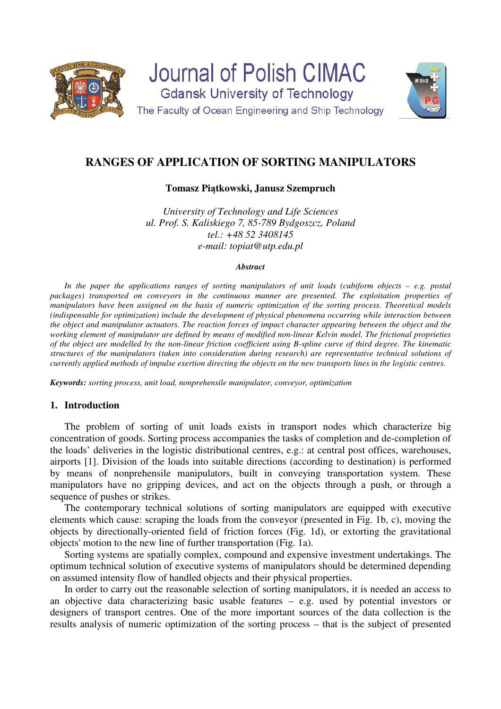

# **RANGES OF APPLICATION OF SORTING MANIPULATORS**

## **Tomasz Piątkowski, Janusz Szempruch**

*University of Technology and Life Sciences ul. Prof. S. Kaliskiego 7, 85-789 Bydgoszcz, Poland tel.: +48 52 3408145 e-mail: topiat@utp.edu.pl*

#### *Abstract*

*In the paper the applications ranges of sorting manipulators of unit loads (cubiform objects – e.g. postal packages) transported on conveyors in the continuous manner are presented. The exploitation properties of manipulators have been assigned on the basis of numeric optimization of the sorting process. Theoretical models (indispensable for optimization) include the development of physical phenomena occurring while interaction between the object and manipulator actuators. The reaction forces of impact character appearing between the object and the working element of manipulator are defined by means of modified non-linear Kelvin model. The frictional proprieties of the object are modelled by the non-linear friction coefficient using B-spline curve of third degree. The kinematic structures of the manipulators (taken into consideration during research) are representative technical solutions of currently applied methods of impulse exertion directing the objects on the new transports lines in the logistic centres.* 

*Keywords: sorting process, unit load, nonprehensile manipulator, conveyor, optimization* 

## **1. Introduction**

The problem of sorting of unit loads exists in transport nodes which characterize big concentration of goods. Sorting process accompanies the tasks of completion and de-completion of the loads' deliveries in the logistic distributional centres, e.g.: at central post offices, warehouses, airports [1]. Division of the loads into suitable directions (according to destination) is performed by means of nonprehensile manipulators, built in conveying transportation system. These manipulators have no gripping devices, and act on the objects through a push, or through a sequence of pushes or strikes.

The contemporary technical solutions of sorting manipulators are equipped with executive elements which cause: scraping the loads from the conveyor (presented in Fig. 1b, c), moving the objects by directionally-oriented field of friction forces (Fig. 1d), or extorting the gravitational objects' motion to the new line of further transportation (Fig. 1a).

Sorting systems are spatially complex, compound and expensive investment undertakings. The optimum technical solution of executive systems of manipulators should be determined depending on assumed intensity flow of handled objects and their physical properties.

In order to carry out the reasonable selection of sorting manipulators, it is needed an access to an objective data characterizing basic usable features – e.g. used by potential investors or designers of transport centres. One of the more important sources of the data collection is the results analysis of numeric optimization of the sorting process – that is the subject of presented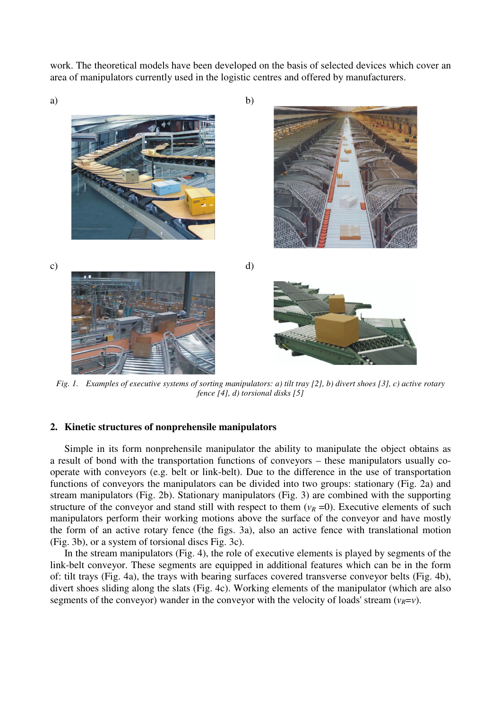work. The theoretical models have been developed on the basis of selected devices which cover an area of manipulators currently used in the logistic centres and offered by manufacturers.



*Fig. 1. Examples of executive systems of sorting manipulators: a) tilt tray [2], b) divert shoes [3], c) active rotary fence [4], d) torsional disks [5]* 

#### **2. Kinetic structures of nonprehensile manipulators**

Simple in its form nonprehensile manipulator the ability to manipulate the object obtains as a result of bond with the transportation functions of conveyors – these manipulators usually cooperate with conveyors (e.g. belt or link-belt). Due to the difference in the use of transportation functions of conveyors the manipulators can be divided into two groups: stationary (Fig. 2a) and stream manipulators (Fig. 2b). Stationary manipulators (Fig. 3) are combined with the supporting structure of the conveyor and stand still with respect to them  $(v_R = 0)$ . Executive elements of such manipulators perform their working motions above the surface of the conveyor and have mostly the form of an active rotary fence (the figs. 3a), also an active fence with translational motion (Fig. 3b), or a system of torsional discs Fig. 3c).

In the stream manipulators (Fig. 4), the role of executive elements is played by segments of the link-belt conveyor. These segments are equipped in additional features which can be in the form of: tilt trays (Fig. 4a), the trays with bearing surfaces covered transverse conveyor belts (Fig. 4b), divert shoes sliding along the slats (Fig. 4c). Working elements of the manipulator (which are also segments of the conveyor) wander in the conveyor with the velocity of loads' stream ( $v_R = v$ ).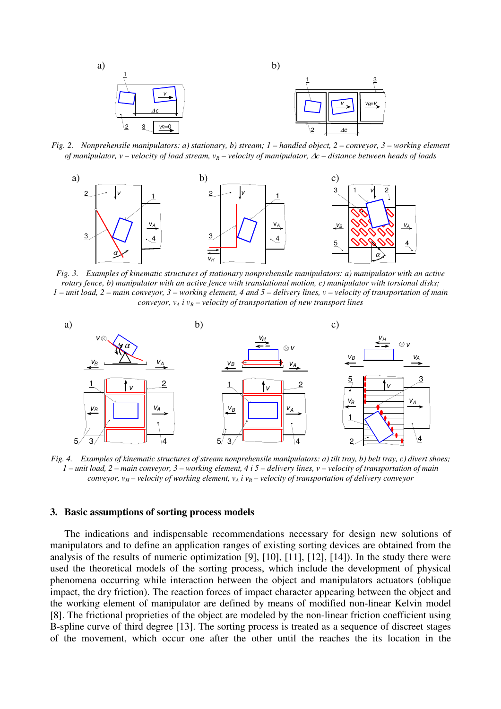

*Fig. 2. Nonprehensile manipulators: a) stationary, b) stream; 1 – handled object, 2 – conveyor, 3 – working element of manipulator, v – velocity of load stream, vR – velocity of manipulator,* ∆*c – distance between heads of loads* 



*Fig. 3. Examples of kinematic structures of stationary nonprehensile manipulators: a) manipulator with an active rotary fence, b) manipulator with an active fence with translational motion, c) manipulator with torsional disks; 1 – unit load, 2 – main conveyor, 3 – working element, 4 and 5 – delivery lines, v – velocity of transportation of main conveyor,*  $v_A$  *i*  $v_B$  – *velocity of transportation of new transport lines* 



*Fig. 4. Examples of kinematic structures of stream nonprehensile manipulators: a) tilt tray, b) belt tray, c) divert shoes; 1 – unit load, 2 – main conveyor, 3 – working element, 4 i 5 – delivery lines, v – velocity of transportation of main conveyor,*  $v_H$  *– velocity of working element,*  $v_A$  *i*  $v_B$  *– velocity of transportation of delivery conveyor* 

#### **3. Basic assumptions of sorting process models**

The indications and indispensable recommendations necessary for design new solutions of manipulators and to define an application ranges of existing sorting devices are obtained from the analysis of the results of numeric optimization [9], [10], [11], [12], [14]). In the study there were used the theoretical models of the sorting process, which include the development of physical phenomena occurring while interaction between the object and manipulators actuators (oblique impact, the dry friction). The reaction forces of impact character appearing between the object and the working element of manipulator are defined by means of modified non-linear Kelvin model [8]. The frictional proprieties of the object are modeled by the non-linear friction coefficient using B-spline curve of third degree [13]. The sorting process is treated as a sequence of discreet stages of the movement, which occur one after the other until the reaches the its location in the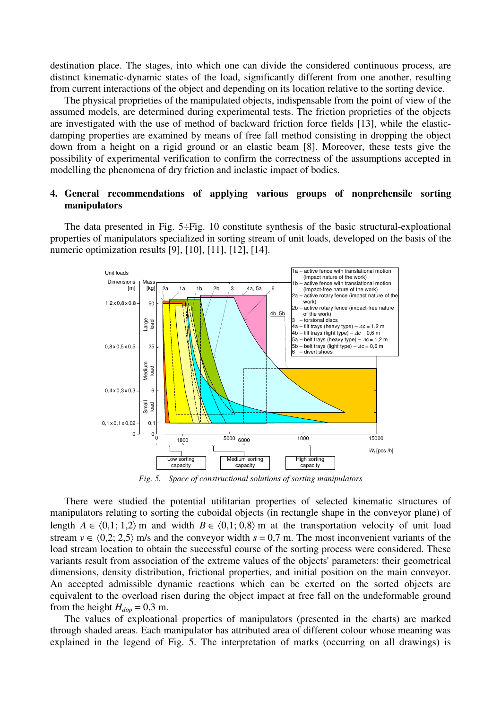destination place. The stages, into which one can divide the considered continuous process, are distinct kinematic-dynamic states of the load, significantly different from one another, resulting from current interactions of the object and depending on its location relative to the sorting device.

The physical proprieties of the manipulated objects, indispensable from the point of view of the assumed models, are determined during experimental tests. The friction proprieties of the objects are investigated with the use of method of backward friction force fields [13], while the elasticdamping properties are examined by means of free fall method consisting in dropping the object down from a height on a rigid ground or an elastic beam [8]. Moreover, these tests give the possibility of experimental verification to confirm the correctness of the assumptions accepted in modelling the phenomena of dry friction and inelastic impact of bodies.

# **4. General recommendations of applying various groups of nonprehensile sorting manipulators**

The data presented in Fig. 5÷Fig. 10 constitute synthesis of the basic structural-exploational properties of manipulators specialized in sorting stream of unit loads, developed on the basis of the numeric optimization results [9], [10], [11], [12], [14].



*Fig. 5. Space of constructional solutions of sorting manipulators* 

There were studied the potential utilitarian properties of selected kinematic structures of manipulators relating to sorting the cuboidal objects (in rectangle shape in the conveyor plane) of length  $A \in \langle 0,1; 1,2 \rangle$  m and width  $B \in \langle 0,1; 0,8 \rangle$  m at the transportation velocity of unit load stream  $v \in (0,2; 2,5)$  m/s and the conveyor width  $s = 0.7$  m. The most inconvenient variants of the load stream location to obtain the successful course of the sorting process were considered. These variants result from association of the extreme values of the objects' parameters: their geometrical dimensions, density distribution, frictional properties, and initial position on the main conveyor. An accepted admissible dynamic reactions which can be exerted on the sorted objects are equivalent to the overload risen during the object impact at free fall on the undeformable ground from the height  $H_{dop} = 0.3$  m.

The values of exploational properties of manipulators (presented in the charts) are marked through shaded areas. Each manipulator has attributed area of different colour whose meaning was explained in the legend of Fig. 5. The interpretation of marks (occurring on all drawings) is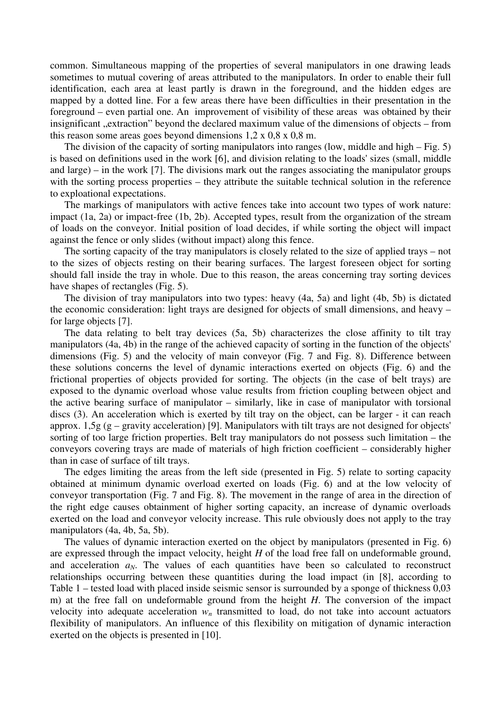common. Simultaneous mapping of the properties of several manipulators in one drawing leads sometimes to mutual covering of areas attributed to the manipulators. In order to enable their full identification, each area at least partly is drawn in the foreground, and the hidden edges are mapped by a dotted line. For a few areas there have been difficulties in their presentation in the foreground – even partial one. An improvement of visibility of these areas was obtained by their insignificant "extraction" beyond the declared maximum value of the dimensions of objects – from this reason some areas goes beyond dimensions  $1,2 \times 0,8 \times 0,8 \text{ m}$ .

The division of the capacity of sorting manipulators into ranges (low, middle and high – Fig. 5) is based on definitions used in the work [6], and division relating to the loads' sizes (small, middle and large) – in the work [7]. The divisions mark out the ranges associating the manipulator groups with the sorting process properties – they attribute the suitable technical solution in the reference to exploational expectations.

The markings of manipulators with active fences take into account two types of work nature: impact (1a, 2a) or impact-free (1b, 2b). Accepted types, result from the organization of the stream of loads on the conveyor. Initial position of load decides, if while sorting the object will impact against the fence or only slides (without impact) along this fence.

The sorting capacity of the tray manipulators is closely related to the size of applied trays – not to the sizes of objects resting on their bearing surfaces. The largest foreseen object for sorting should fall inside the tray in whole. Due to this reason, the areas concerning tray sorting devices have shapes of rectangles (Fig. 5).

The division of tray manipulators into two types: heavy (4a, 5a) and light (4b, 5b) is dictated the economic consideration: light trays are designed for objects of small dimensions, and heavy – for large objects [7].

The data relating to belt tray devices (5a, 5b) characterizes the close affinity to tilt tray manipulators (4a, 4b) in the range of the achieved capacity of sorting in the function of the objects' dimensions (Fig. 5) and the velocity of main conveyor (Fig. 7 and Fig. 8). Difference between these solutions concerns the level of dynamic interactions exerted on objects (Fig. 6) and the frictional properties of objects provided for sorting. The objects (in the case of belt trays) are exposed to the dynamic overload whose value results from friction coupling between object and the active bearing surface of manipulator – similarly, like in case of manipulator with torsional discs (3). An acceleration which is exerted by tilt tray on the object, can be larger - it can reach approx. 1,5g (g – gravity acceleration) [9]. Manipulators with tilt trays are not designed for objects' sorting of too large friction properties. Belt tray manipulators do not possess such limitation – the conveyors covering trays are made of materials of high friction coefficient – considerably higher than in case of surface of tilt trays.

The edges limiting the areas from the left side (presented in Fig. 5) relate to sorting capacity obtained at minimum dynamic overload exerted on loads (Fig. 6) and at the low velocity of conveyor transportation (Fig. 7 and Fig. 8). The movement in the range of area in the direction of the right edge causes obtainment of higher sorting capacity, an increase of dynamic overloads exerted on the load and conveyor velocity increase. This rule obviously does not apply to the tray manipulators (4a, 4b, 5a, 5b).

The values of dynamic interaction exerted on the object by manipulators (presented in Fig. 6) are expressed through the impact velocity, height *H* of the load free fall on undeformable ground, and acceleration  $a_N$ . The values of each quantities have been so calculated to reconstruct relationships occurring between these quantities during the load impact (in [8], according to Table 1 – tested load with placed inside seismic sensor is surrounded by a sponge of thickness 0,03 m) at the free fall on undeformable ground from the height *H*. The conversion of the impact velocity into adequate acceleration  $w<sub>n</sub>$  transmitted to load, do not take into account actuators flexibility of manipulators. An influence of this flexibility on mitigation of dynamic interaction exerted on the objects is presented in [10].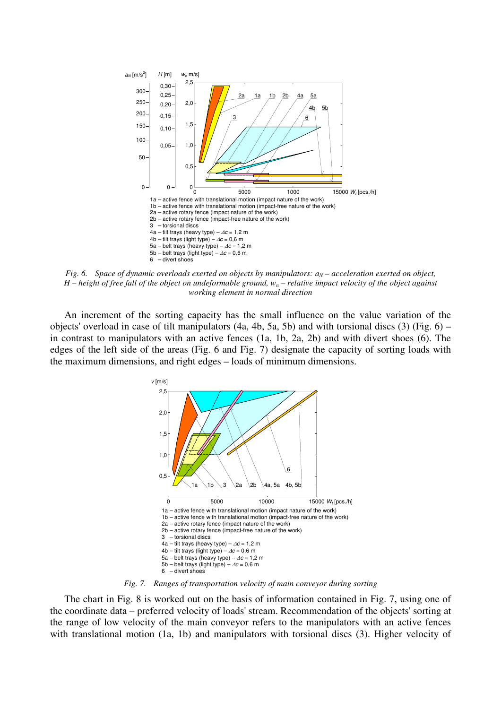

*Fig. 6. Space of dynamic overloads exerted on objects by manipulators:*  $a_N$  – acceleration exerted on object, *H – height of free fall of the object on undeformable ground, wn – relative impact velocity of the object against working element in normal direction* 

An increment of the sorting capacity has the small influence on the value variation of the objects' overload in case of tilt manipulators (4a, 4b, 5a, 5b) and with torsional discs (3) (Fig. 6) – in contrast to manipulators with an active fences (1a, 1b, 2a, 2b) and with divert shoes (6). The edges of the left side of the areas (Fig. 6 and Fig. 7) designate the capacity of sorting loads with the maximum dimensions, and right edges – loads of minimum dimensions.



*Fig. 7. Ranges of transportation velocity of main conveyor during sorting* 

The chart in Fig. 8 is worked out on the basis of information contained in Fig. 7, using one of the coordinate data – preferred velocity of loads' stream. Recommendation of the objects' sorting at the range of low velocity of the main conveyor refers to the manipulators with an active fences with translational motion (1a, 1b) and manipulators with torsional discs (3). Higher velocity of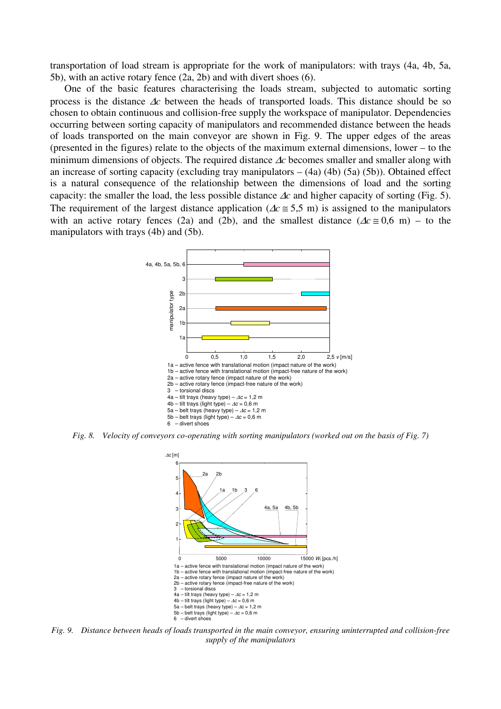transportation of load stream is appropriate for the work of manipulators: with trays (4a, 4b, 5a, 5b), with an active rotary fence (2a, 2b) and with divert shoes (6).

One of the basic features characterising the loads stream, subjected to automatic sorting process is the distance ∆*c* between the heads of transported loads. This distance should be so chosen to obtain continuous and collision-free supply the workspace of manipulator. Dependencies occurring between sorting capacity of manipulators and recommended distance between the heads of loads transported on the main conveyor are shown in Fig. 9. The upper edges of the areas (presented in the figures) relate to the objects of the maximum external dimensions, lower – to the minimum dimensions of objects. The required distance ∆*c* becomes smaller and smaller along with an increase of sorting capacity (excluding tray manipulators  $-$  (4a) (4b) (5a) (5b)). Obtained effect is a natural consequence of the relationship between the dimensions of load and the sorting capacity: the smaller the load, the less possible distance ∆*c* and higher capacity of sorting (Fig. 5). The requirement of the largest distance application ( $\Delta c \approx 5.5$  m) is assigned to the manipulators with an active rotary fences (2a) and (2b), and the smallest distance ( $\Delta c \approx 0.6$  m) – to the manipulators with trays (4b) and (5b).



*Fig. 8. Velocity of conveyors co-operating with sorting manipulators (worked out on the basis of Fig. 7)* 



*Fig. 9. Distance between heads of loads transported in the main conveyor, ensuring uninterrupted and collision-free supply of the manipulators*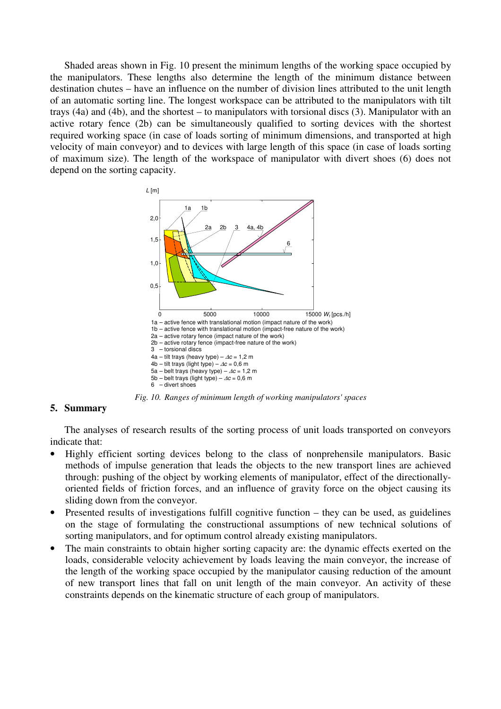Shaded areas shown in Fig. 10 present the minimum lengths of the working space occupied by the manipulators. These lengths also determine the length of the minimum distance between destination chutes – have an influence on the number of division lines attributed to the unit length of an automatic sorting line. The longest workspace can be attributed to the manipulators with tilt trays (4a) and (4b), and the shortest – to manipulators with torsional discs (3). Manipulator with an active rotary fence (2b) can be simultaneously qualified to sorting devices with the shortest required working space (in case of loads sorting of minimum dimensions, and transported at high velocity of main conveyor) and to devices with large length of this space (in case of loads sorting of maximum size). The length of the workspace of manipulator with divert shoes (6) does not depend on the sorting capacity.



*Fig. 10. Ranges of minimum length of working manipulators' spaces* 

## **5. Summary**

The analyses of research results of the sorting process of unit loads transported on conveyors indicate that:

- Highly efficient sorting devices belong to the class of nonprehensile manipulators. Basic methods of impulse generation that leads the objects to the new transport lines are achieved through: pushing of the object by working elements of manipulator, effect of the directionallyoriented fields of friction forces, and an influence of gravity force on the object causing its sliding down from the conveyor.
- Presented results of investigations fulfill cognitive function they can be used, as guidelines on the stage of formulating the constructional assumptions of new technical solutions of sorting manipulators, and for optimum control already existing manipulators.
- The main constraints to obtain higher sorting capacity are: the dynamic effects exerted on the loads, considerable velocity achievement by loads leaving the main conveyor, the increase of the length of the working space occupied by the manipulator causing reduction of the amount of new transport lines that fall on unit length of the main conveyor. An activity of these constraints depends on the kinematic structure of each group of manipulators.